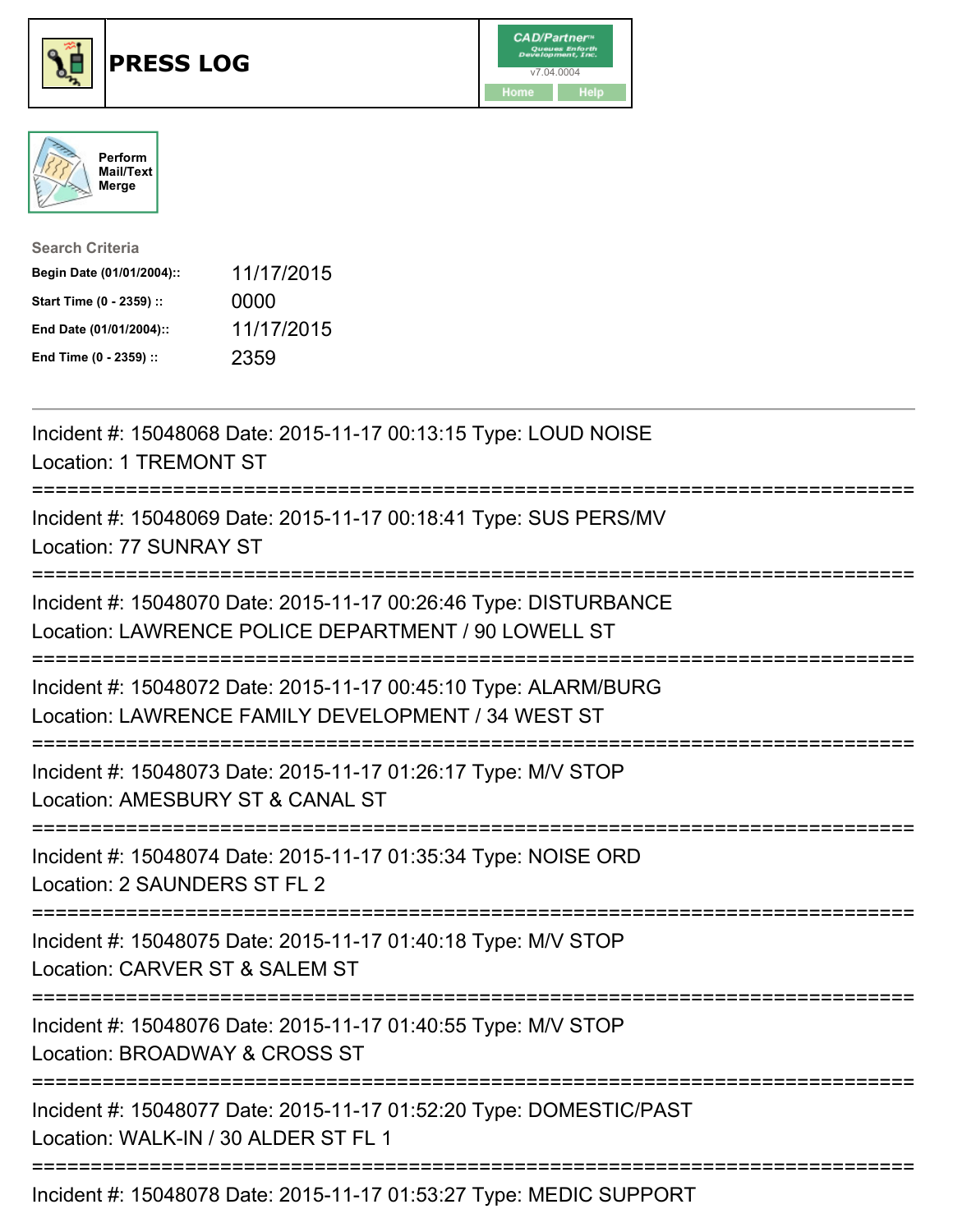





| <b>Search Criteria</b>    |            |
|---------------------------|------------|
| Begin Date (01/01/2004):: | 11/17/2015 |
| Start Time (0 - 2359) ::  | 0000       |
| End Date (01/01/2004)::   | 11/17/2015 |
| End Time (0 - 2359) ::    | 2359       |

| Incident #: 15048068 Date: 2015-11-17 00:13:15 Type: LOUD NOISE<br><b>Location: 1 TREMONT ST</b>                                             |
|----------------------------------------------------------------------------------------------------------------------------------------------|
| Incident #: 15048069 Date: 2015-11-17 00:18:41 Type: SUS PERS/MV<br>Location: 77 SUNRAY ST                                                   |
| Incident #: 15048070 Date: 2015-11-17 00:26:46 Type: DISTURBANCE<br>Location: LAWRENCE POLICE DEPARTMENT / 90 LOWELL ST                      |
| Incident #: 15048072 Date: 2015-11-17 00:45:10 Type: ALARM/BURG<br>Location: LAWRENCE FAMILY DEVELOPMENT / 34 WEST ST                        |
| Incident #: 15048073 Date: 2015-11-17 01:26:17 Type: M/V STOP<br>Location: AMESBURY ST & CANAL ST<br>.__________.<br>======================= |
| Incident #: 15048074 Date: 2015-11-17 01:35:34 Type: NOISE ORD<br>Location: 2 SAUNDERS ST FL 2<br>--------------------<br>----------------   |
| Incident #: 15048075 Date: 2015-11-17 01:40:18 Type: M/V STOP<br>Location: CARVER ST & SALEM ST<br>:========================                 |
| Incident #: 15048076 Date: 2015-11-17 01:40:55 Type: M/V STOP<br>Location: BROADWAY & CROSS ST                                               |
| Incident #: 15048077 Date: 2015-11-17 01:52:20 Type: DOMESTIC/PAST<br>Location: WALK-IN / 30 ALDER ST FL 1                                   |
| Incident #: 15048078 Date: 2015-11-17 01:53:27 Type: MEDIC SUPPORT                                                                           |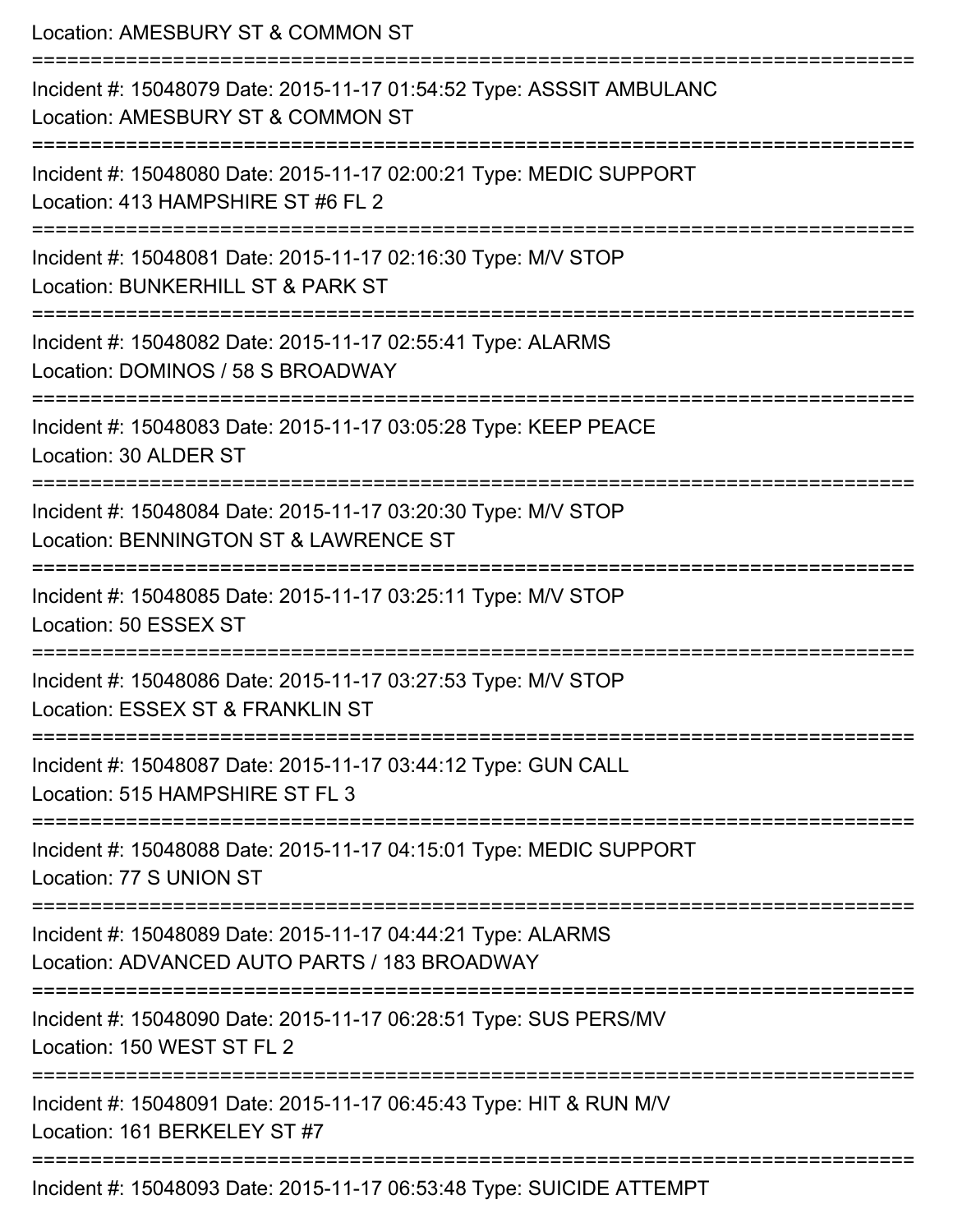Location: AMESBURY ST & COMMON ST =========================================================================== Incident #: 15048079 Date: 2015-11-17 01:54:52 Type: ASSSIT AMBULANC Location: AMESBURY ST & COMMON ST =========================================================================== Incident #: 15048080 Date: 2015-11-17 02:00:21 Type: MEDIC SUPPORT Location: 413 HAMPSHIRE ST #6 FL 2 =========================================================================== Incident #: 15048081 Date: 2015-11-17 02:16:30 Type: M/V STOP Location: BUNKERHILL ST & PARK ST =========================================================================== Incident #: 15048082 Date: 2015-11-17 02:55:41 Type: ALARMS Location: DOMINOS / 58 S BROADWAY =========================================================================== Incident #: 15048083 Date: 2015-11-17 03:05:28 Type: KEEP PEACE Location: 30 ALDER ST =========================================================================== Incident #: 15048084 Date: 2015-11-17 03:20:30 Type: M/V STOP Location: BENNINGTON ST & LAWRENCE ST =========================================================================== Incident #: 15048085 Date: 2015-11-17 03:25:11 Type: M/V STOP Location: 50 ESSEX ST =========================================================================== Incident #: 15048086 Date: 2015-11-17 03:27:53 Type: M/V STOP Location: ESSEX ST & FRANKLIN ST =========================================================================== Incident #: 15048087 Date: 2015-11-17 03:44:12 Type: GUN CALL Location: 515 HAMPSHIRF ST FL 3 =========================================================================== Incident #: 15048088 Date: 2015-11-17 04:15:01 Type: MEDIC SUPPORT Location: 77 S UNION ST =========================================================================== Incident #: 15048089 Date: 2015-11-17 04:44:21 Type: ALARMS Location: ADVANCED AUTO PARTS / 183 BROADWAY =========================================================================== Incident #: 15048090 Date: 2015-11-17 06:28:51 Type: SUS PERS/MV Location: 150 WEST ST FL 2 =========================================================================== Incident #: 15048091 Date: 2015-11-17 06:45:43 Type: HIT & RUN M/V Location: 161 BERKELEY ST #7 =========================================================================== Incident #: 15048093 Date: 2015-11-17 06:53:48 Type: SUICIDE ATTEMPT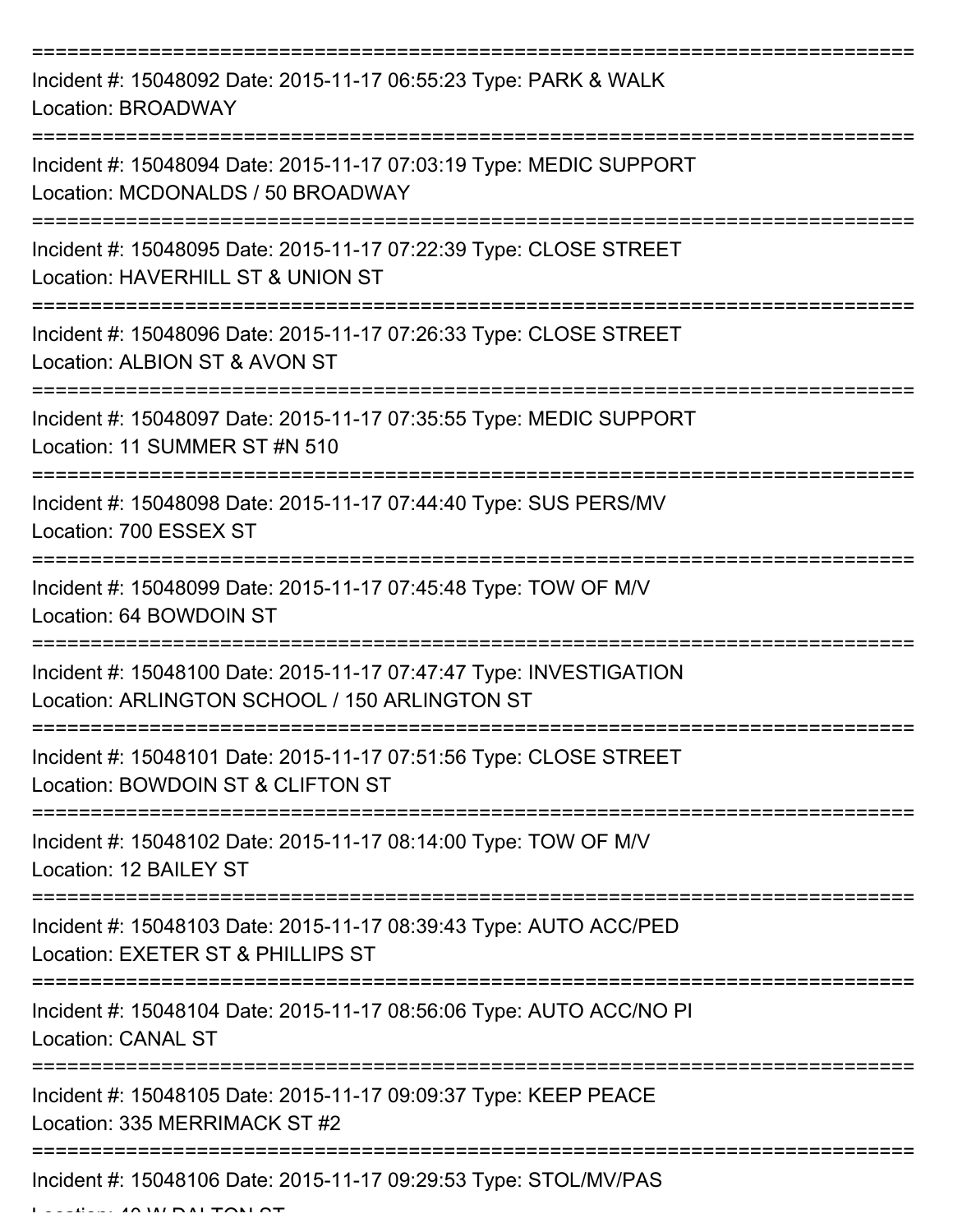| Incident #: 15048092 Date: 2015-11-17 06:55:23 Type: PARK & WALK<br>Location: BROADWAY                              |
|---------------------------------------------------------------------------------------------------------------------|
| Incident #: 15048094 Date: 2015-11-17 07:03:19 Type: MEDIC SUPPORT<br>Location: MCDONALDS / 50 BROADWAY             |
| Incident #: 15048095 Date: 2015-11-17 07:22:39 Type: CLOSE STREET<br>Location: HAVERHILL ST & UNION ST              |
| Incident #: 15048096 Date: 2015-11-17 07:26:33 Type: CLOSE STREET<br>Location: ALBION ST & AVON ST                  |
| Incident #: 15048097 Date: 2015-11-17 07:35:55 Type: MEDIC SUPPORT<br>Location: 11 SUMMER ST #N 510                 |
| Incident #: 15048098 Date: 2015-11-17 07:44:40 Type: SUS PERS/MV<br>Location: 700 ESSEX ST                          |
| Incident #: 15048099 Date: 2015-11-17 07:45:48 Type: TOW OF M/V<br>Location: 64 BOWDOIN ST                          |
| Incident #: 15048100 Date: 2015-11-17 07:47:47 Type: INVESTIGATION<br>Location: ARLINGTON SCHOOL / 150 ARLINGTON ST |
| Incident #: 15048101 Date: 2015-11-17 07:51:56 Type: CLOSE STREET<br>Location: BOWDOIN ST & CLIFTON ST              |
| Incident #: 15048102 Date: 2015-11-17 08:14:00 Type: TOW OF M/V<br>Location: 12 BAILEY ST                           |
| Incident #: 15048103 Date: 2015-11-17 08:39:43 Type: AUTO ACC/PED<br>Location: EXETER ST & PHILLIPS ST              |
| Incident #: 15048104 Date: 2015-11-17 08:56:06 Type: AUTO ACC/NO PI<br><b>Location: CANAL ST</b>                    |
| Incident #: 15048105 Date: 2015-11-17 09:09:37 Type: KEEP PEACE<br>Location: 335 MERRIMACK ST #2                    |
| Incident #: 15048106 Date: 2015-11-17 09:29:53 Type: STOL/MV/PAS                                                    |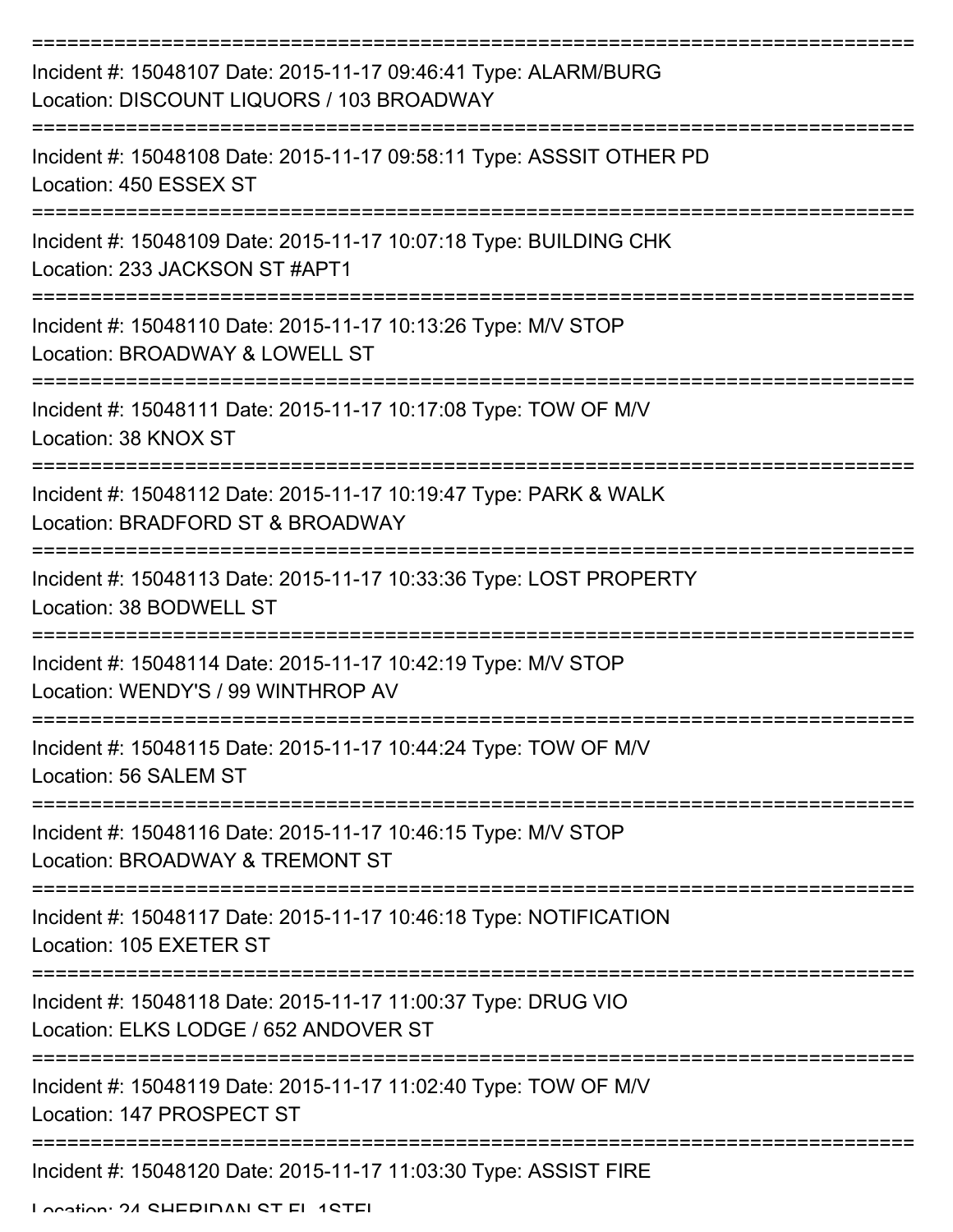| Incident #: 15048107 Date: 2015-11-17 09:46:41 Type: ALARM/BURG<br>Location: DISCOUNT LIQUORS / 103 BROADWAY |
|--------------------------------------------------------------------------------------------------------------|
| Incident #: 15048108 Date: 2015-11-17 09:58:11 Type: ASSSIT OTHER PD<br>Location: 450 ESSEX ST               |
| Incident #: 15048109 Date: 2015-11-17 10:07:18 Type: BUILDING CHK<br>Location: 233 JACKSON ST #APT1          |
| Incident #: 15048110 Date: 2015-11-17 10:13:26 Type: M/V STOP<br>Location: BROADWAY & LOWELL ST              |
| Incident #: 15048111 Date: 2015-11-17 10:17:08 Type: TOW OF M/V<br>Location: 38 KNOX ST                      |
| Incident #: 15048112 Date: 2015-11-17 10:19:47 Type: PARK & WALK<br>Location: BRADFORD ST & BROADWAY         |
| Incident #: 15048113 Date: 2015-11-17 10:33:36 Type: LOST PROPERTY<br>Location: 38 BODWELL ST                |
| Incident #: 15048114 Date: 2015-11-17 10:42:19 Type: M/V STOP<br>Location: WENDY'S / 99 WINTHROP AV          |
| Incident #: 15048115 Date: 2015-11-17 10:44:24 Type: TOW OF M/V<br>Location: 56 SALEM ST                     |
| Incident #: 15048116 Date: 2015-11-17 10:46:15 Type: M/V STOP<br>Location: BROADWAY & TREMONT ST             |
| Incident #: 15048117 Date: 2015-11-17 10:46:18 Type: NOTIFICATION<br>Location: 105 EXETER ST                 |
| Incident #: 15048118 Date: 2015-11-17 11:00:37 Type: DRUG VIO<br>Location: ELKS LODGE / 652 ANDOVER ST       |
| Incident #: 15048119 Date: 2015-11-17 11:02:40 Type: TOW OF M/V<br>Location: 147 PROSPECT ST                 |
| Incident #: 15048120 Date: 2015-11-17 11:03:30 Type: ASSIST FIRE                                             |

Location: 24 SHERIDAN ST EL 1STEL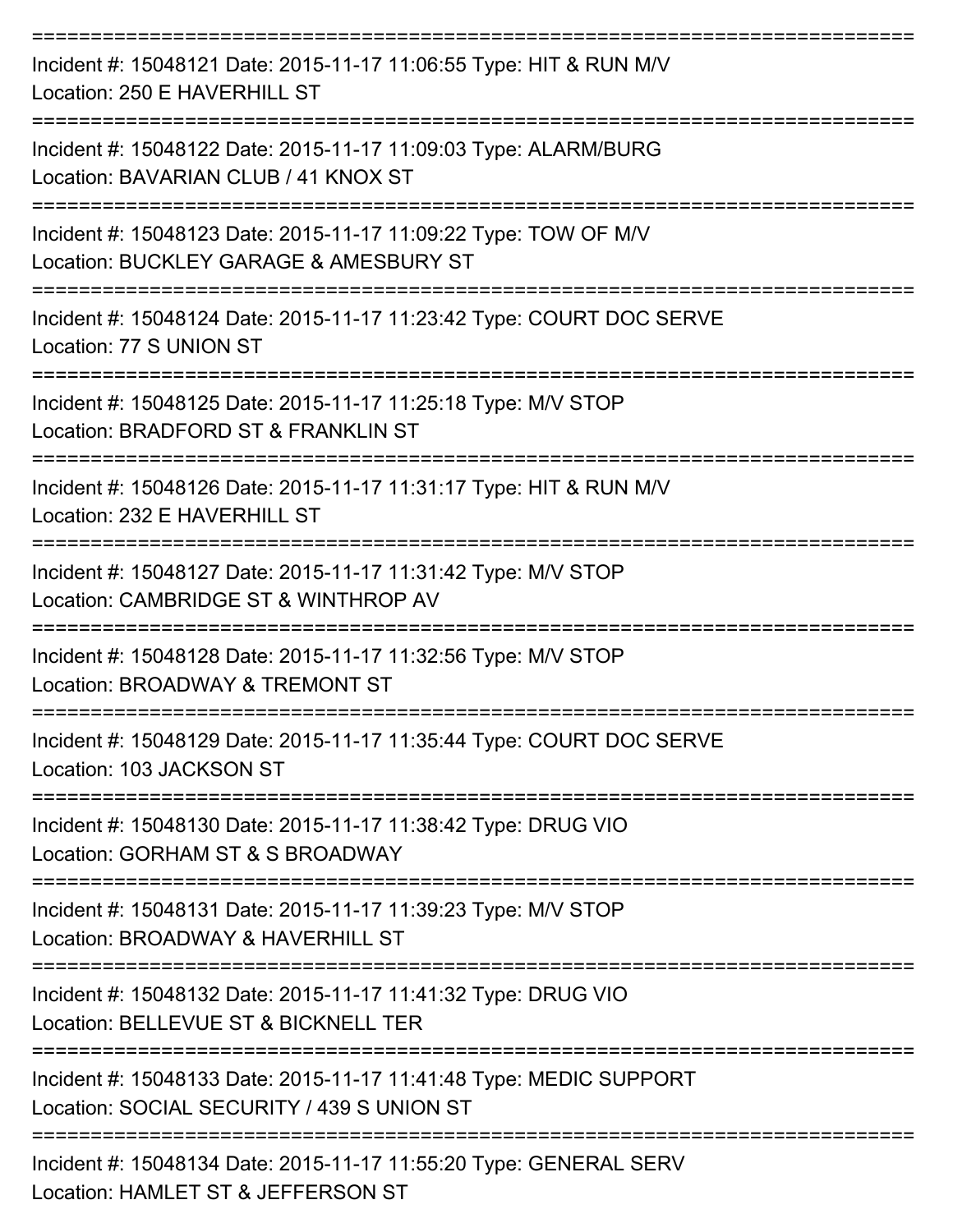| Incident #: 15048121 Date: 2015-11-17 11:06:55 Type: HIT & RUN M/V<br>Location: 250 E HAVERHILL ST                          |
|-----------------------------------------------------------------------------------------------------------------------------|
| Incident #: 15048122 Date: 2015-11-17 11:09:03 Type: ALARM/BURG<br>Location: BAVARIAN CLUB / 41 KNOX ST                     |
| Incident #: 15048123 Date: 2015-11-17 11:09:22 Type: TOW OF M/V<br>Location: BUCKLEY GARAGE & AMESBURY ST                   |
| Incident #: 15048124 Date: 2015-11-17 11:23:42 Type: COURT DOC SERVE<br>Location: 77 S UNION ST<br>---------------------    |
| Incident #: 15048125 Date: 2015-11-17 11:25:18 Type: M/V STOP<br>Location: BRADFORD ST & FRANKLIN ST                        |
| Incident #: 15048126 Date: 2015-11-17 11:31:17 Type: HIT & RUN M/V<br>Location: 232 E HAVERHILL ST                          |
| ==================<br>Incident #: 15048127 Date: 2015-11-17 11:31:42 Type: M/V STOP<br>Location: CAMBRIDGE ST & WINTHROP AV |
| Incident #: 15048128 Date: 2015-11-17 11:32:56 Type: M/V STOP<br>Location: BROADWAY & TREMONT ST                            |
| Incident #: 15048129 Date: 2015-11-17 11:35:44 Type: COURT DOC SERVE<br>Location: 103 JACKSON ST                            |
| Incident #: 15048130 Date: 2015-11-17 11:38:42 Type: DRUG VIO<br>Location: GORHAM ST & S BROADWAY                           |
| Incident #: 15048131 Date: 2015-11-17 11:39:23 Type: M/V STOP<br>Location: BROADWAY & HAVERHILL ST                          |
| Incident #: 15048132 Date: 2015-11-17 11:41:32 Type: DRUG VIO<br>Location: BELLEVUE ST & BICKNELL TER                       |
| Incident #: 15048133 Date: 2015-11-17 11:41:48 Type: MEDIC SUPPORT<br>Location: SOCIAL SECURITY / 439 S UNION ST            |
| Incident #: 15048134 Date: 2015-11-17 11:55:20 Type: GENERAL SERV<br>Location: HAMLET ST & JEFFERSON ST                     |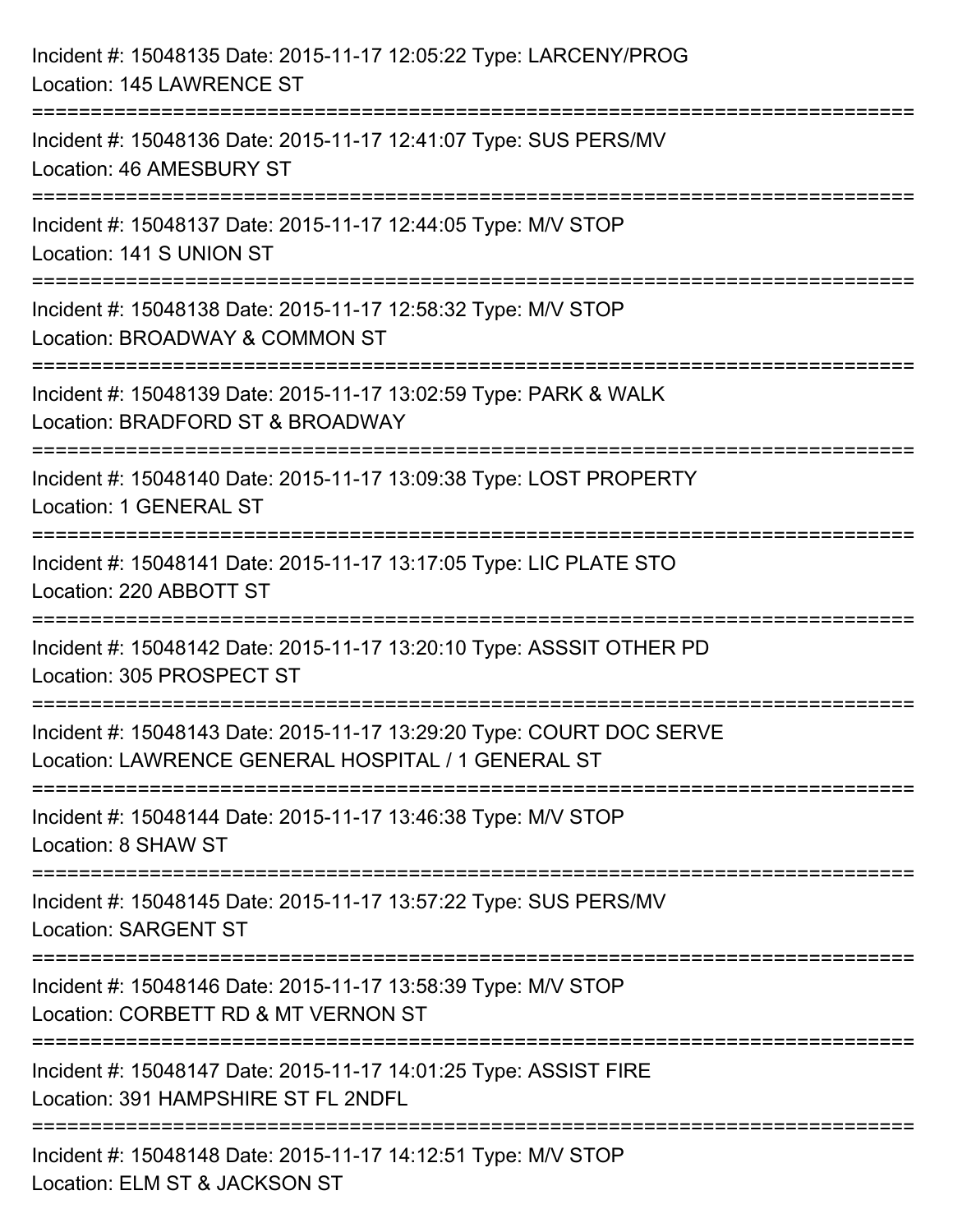| Incident #: 15048135 Date: 2015-11-17 12:05:22 Type: LARCENY/PROG<br>Location: 145 LAWRENCE ST                                         |
|----------------------------------------------------------------------------------------------------------------------------------------|
| :=====================================<br>Incident #: 15048136 Date: 2015-11-17 12:41:07 Type: SUS PERS/MV<br>Location: 46 AMESBURY ST |
| Incident #: 15048137 Date: 2015-11-17 12:44:05 Type: M/V STOP<br>Location: 141 S UNION ST                                              |
| ================================<br>Incident #: 15048138 Date: 2015-11-17 12:58:32 Type: M/V STOP<br>Location: BROADWAY & COMMON ST    |
| Incident #: 15048139 Date: 2015-11-17 13:02:59 Type: PARK & WALK<br>Location: BRADFORD ST & BROADWAY                                   |
| Incident #: 15048140 Date: 2015-11-17 13:09:38 Type: LOST PROPERTY<br>Location: 1 GENERAL ST                                           |
| Incident #: 15048141 Date: 2015-11-17 13:17:05 Type: LIC PLATE STO<br>Location: 220 ABBOTT ST                                          |
| Incident #: 15048142 Date: 2015-11-17 13:20:10 Type: ASSSIT OTHER PD<br>Location: 305 PROSPECT ST                                      |
| Incident #: 15048143 Date: 2015-11-17 13:29:20 Type: COURT DOC SERVE<br>Location: LAWRENCE GENERAL HOSPITAL / 1 GENERAL ST             |
| Incident #: 15048144 Date: 2015-11-17 13:46:38 Type: M/V STOP<br>Location: 8 SHAW ST                                                   |
| Incident #: 15048145 Date: 2015-11-17 13:57:22 Type: SUS PERS/MV<br><b>Location: SARGENT ST</b>                                        |
| Incident #: 15048146 Date: 2015-11-17 13:58:39 Type: M/V STOP<br>Location: CORBETT RD & MT VERNON ST                                   |
| Incident #: 15048147 Date: 2015-11-17 14:01:25 Type: ASSIST FIRE<br>Location: 391 HAMPSHIRE ST FL 2NDFL                                |
| ===========================<br>Incident #: 15048148 Date: 2015-11-17 14:12:51 Type: M/V STOP<br>Location: ELM ST & JACKSON ST          |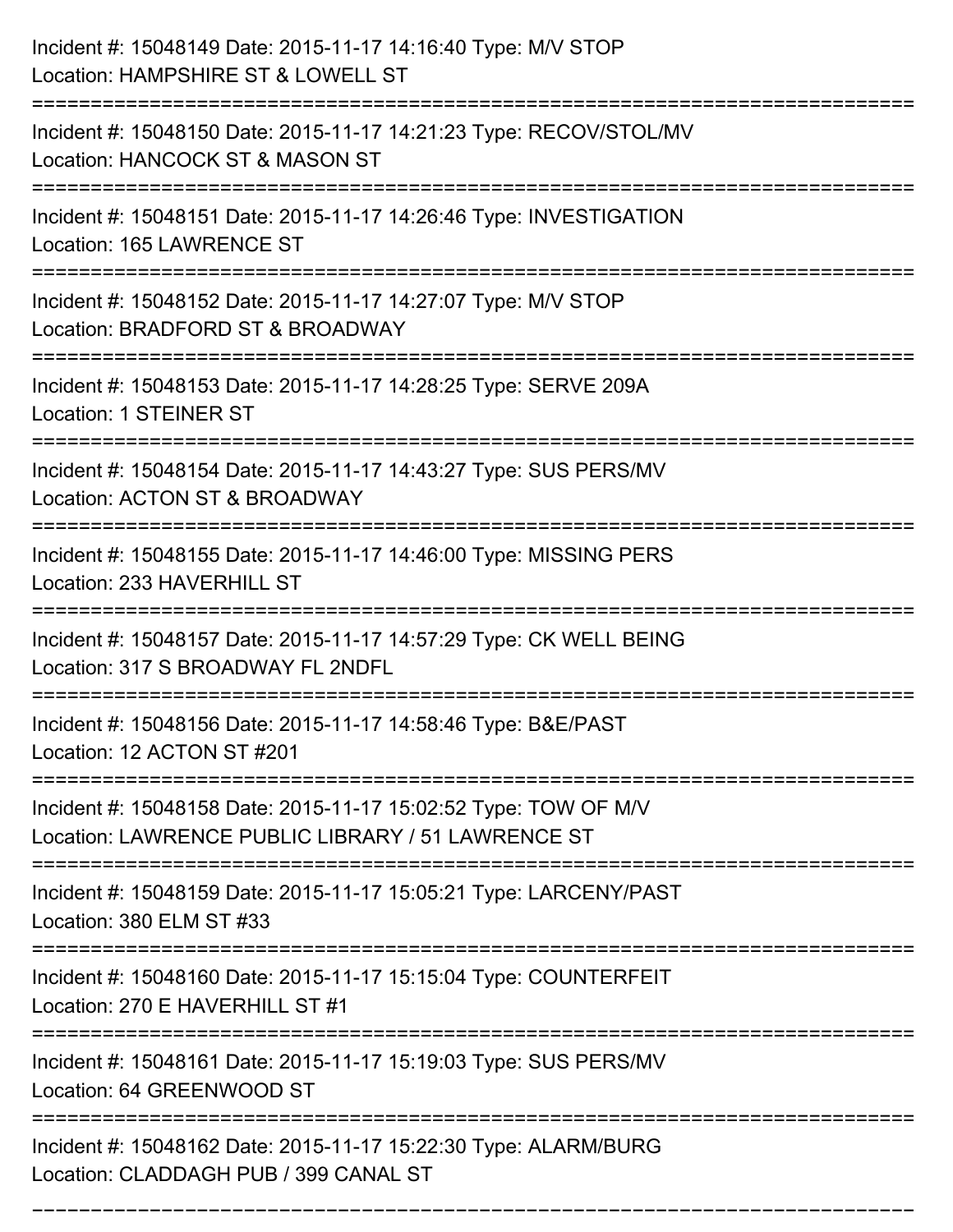| Incident #: 15048149 Date: 2015-11-17 14:16:40 Type: M/V STOP<br>Location: HAMPSHIRE ST & LOWELL ST                                                                 |
|---------------------------------------------------------------------------------------------------------------------------------------------------------------------|
| Incident #: 15048150 Date: 2015-11-17 14:21:23 Type: RECOV/STOL/MV<br>Location: HANCOCK ST & MASON ST                                                               |
| Incident #: 15048151 Date: 2015-11-17 14:26:46 Type: INVESTIGATION<br>Location: 165 LAWRENCE ST<br>==================================                               |
| Incident #: 15048152 Date: 2015-11-17 14:27:07 Type: M/V STOP<br>Location: BRADFORD ST & BROADWAY                                                                   |
| Incident #: 15048153 Date: 2015-11-17 14:28:25 Type: SERVE 209A<br><b>Location: 1 STEINER ST</b>                                                                    |
| Incident #: 15048154 Date: 2015-11-17 14:43:27 Type: SUS PERS/MV<br>Location: ACTON ST & BROADWAY                                                                   |
| ======================<br>======================================<br>Incident #: 15048155 Date: 2015-11-17 14:46:00 Type: MISSING PERS<br>Location: 233 HAVERHILL ST |
| Incident #: 15048157 Date: 2015-11-17 14:57:29 Type: CK WELL BEING<br>Location: 317 S BROADWAY FL 2NDFL                                                             |
| Incident #: 15048156 Date: 2015-11-17 14:58:46 Type: B&E/PAST<br>Location: 12 ACTON ST #201                                                                         |
| Incident #: 15048158 Date: 2015-11-17 15:02:52 Type: TOW OF M/V<br>Location: LAWRENCE PUBLIC LIBRARY / 51 LAWRENCE ST                                               |
| Incident #: 15048159 Date: 2015-11-17 15:05:21 Type: LARCENY/PAST<br>Location: 380 ELM ST #33                                                                       |
| Incident #: 15048160 Date: 2015-11-17 15:15:04 Type: COUNTERFEIT<br>Location: 270 E HAVERHILL ST #1                                                                 |
| Incident #: 15048161 Date: 2015-11-17 15:19:03 Type: SUS PERS/MV<br>Location: 64 GREENWOOD ST                                                                       |
| Incident #: 15048162 Date: 2015-11-17 15:22:30 Type: ALARM/BURG<br>Location: CLADDAGH PUB / 399 CANAL ST                                                            |

===========================================================================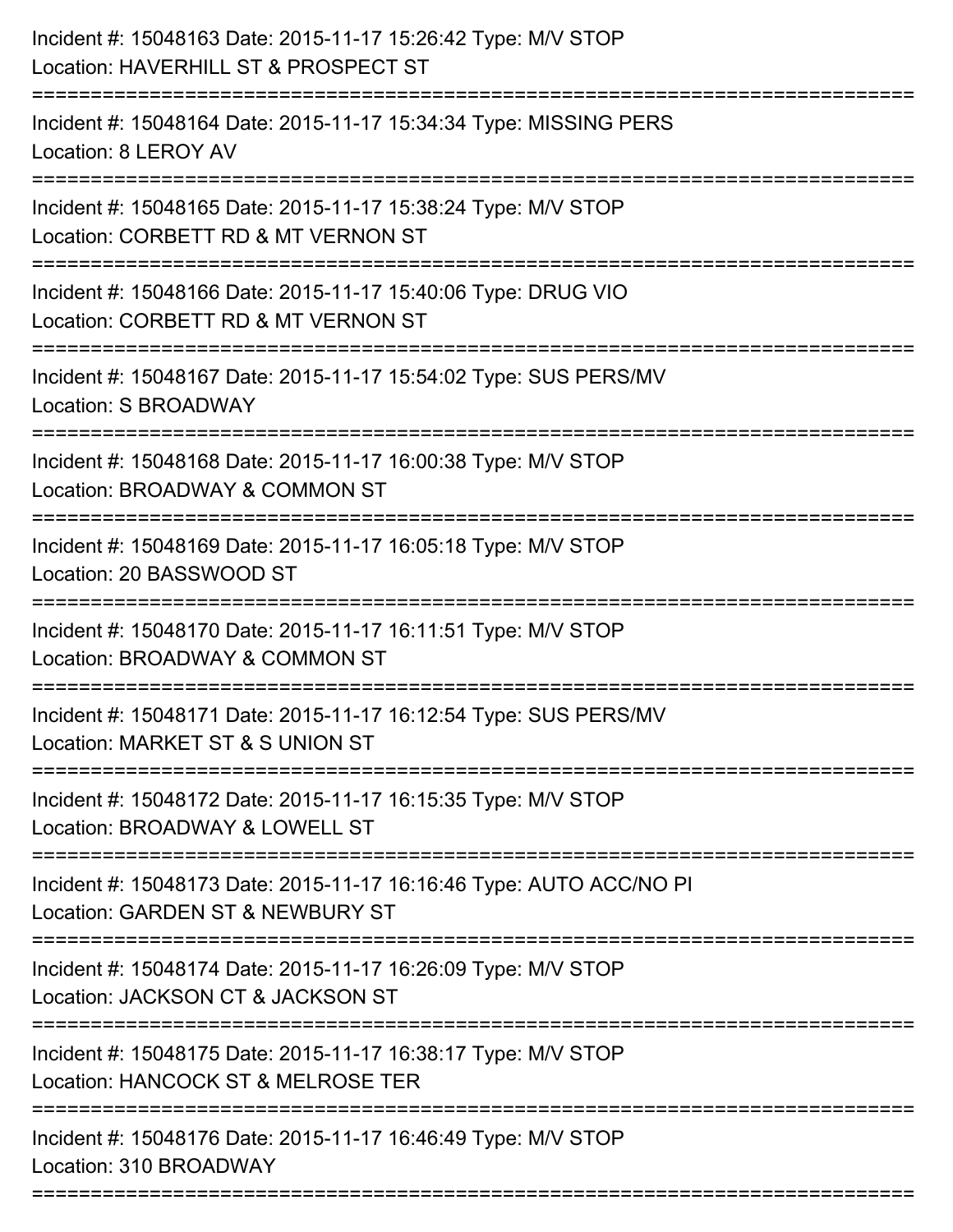| Incident #: 15048163 Date: 2015-11-17 15:26:42 Type: M/V STOP<br>Location: HAVERHILL ST & PROSPECT ST                             |
|-----------------------------------------------------------------------------------------------------------------------------------|
| Incident #: 15048164 Date: 2015-11-17 15:34:34 Type: MISSING PERS<br>Location: 8 LEROY AV                                         |
| Incident #: 15048165 Date: 2015-11-17 15:38:24 Type: M/V STOP<br>Location: CORBETT RD & MT VERNON ST<br>:======================== |
| Incident #: 15048166 Date: 2015-11-17 15:40:06 Type: DRUG VIO<br>Location: CORBETT RD & MT VERNON ST                              |
| Incident #: 15048167 Date: 2015-11-17 15:54:02 Type: SUS PERS/MV<br>Location: S BROADWAY                                          |
| Incident #: 15048168 Date: 2015-11-17 16:00:38 Type: M/V STOP<br>Location: BROADWAY & COMMON ST                                   |
| Incident #: 15048169 Date: 2015-11-17 16:05:18 Type: M/V STOP<br>Location: 20 BASSWOOD ST                                         |
| Incident #: 15048170 Date: 2015-11-17 16:11:51 Type: M/V STOP<br>Location: BROADWAY & COMMON ST                                   |
| Incident #: 15048171 Date: 2015-11-17 16:12:54 Type: SUS PERS/MV<br>Location: MARKET ST & S UNION ST                              |
| Incident #: 15048172 Date: 2015-11-17 16:15:35 Type: M/V STOP<br>Location: BROADWAY & LOWELL ST                                   |
| Incident #: 15048173 Date: 2015-11-17 16:16:46 Type: AUTO ACC/NO PI<br>Location: GARDEN ST & NEWBURY ST                           |
| Incident #: 15048174 Date: 2015-11-17 16:26:09 Type: M/V STOP<br>Location: JACKSON CT & JACKSON ST                                |
| Incident #: 15048175 Date: 2015-11-17 16:38:17 Type: M/V STOP<br>Location: HANCOCK ST & MELROSE TER                               |
| Incident #: 15048176 Date: 2015-11-17 16:46:49 Type: M/V STOP<br>Location: 310 BROADWAY                                           |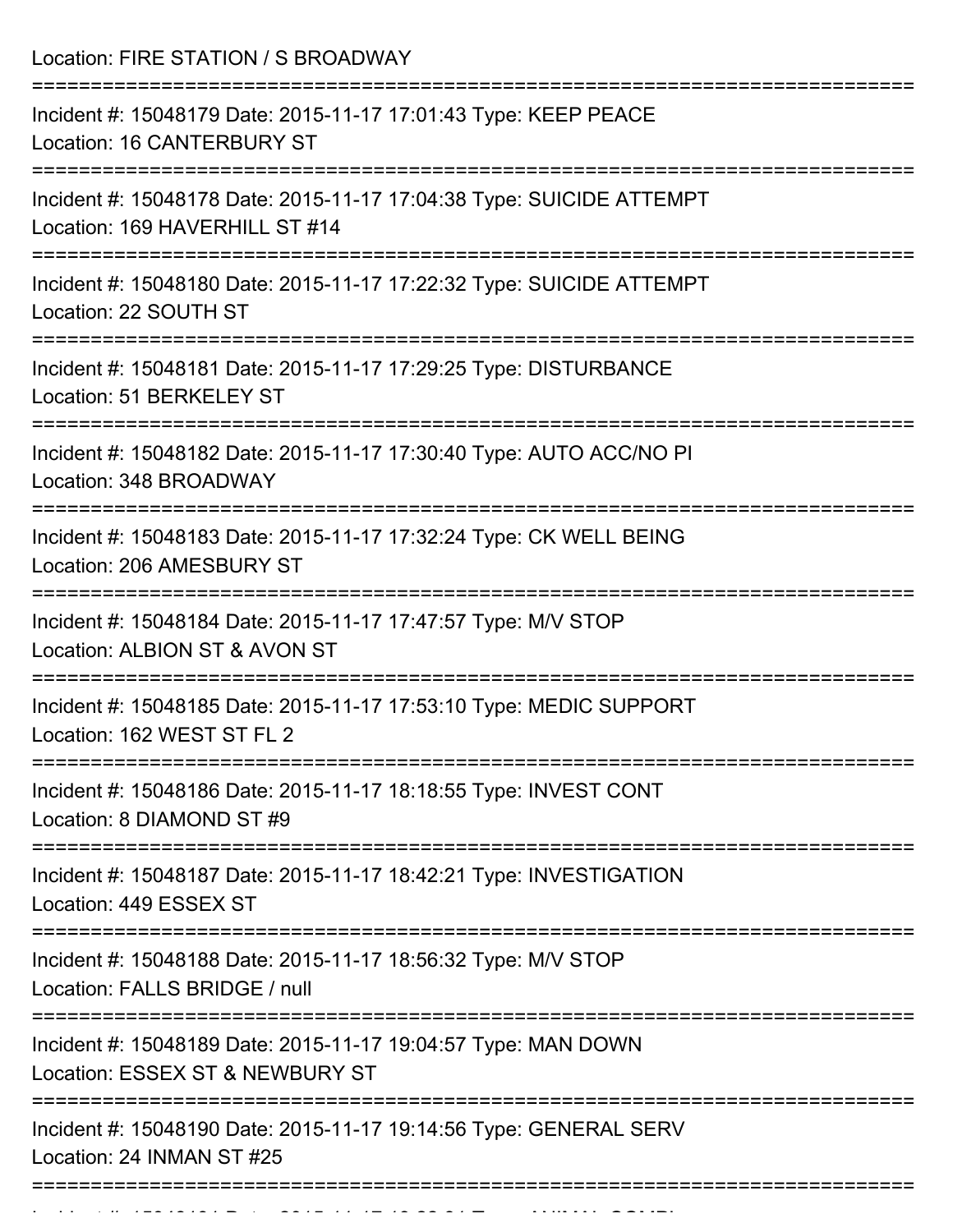| Location: FIRE STATION / S BROADWAY                                                                    |
|--------------------------------------------------------------------------------------------------------|
| Incident #: 15048179 Date: 2015-11-17 17:01:43 Type: KEEP PEACE<br>Location: 16 CANTERBURY ST          |
| Incident #: 15048178 Date: 2015-11-17 17:04:38 Type: SUICIDE ATTEMPT<br>Location: 169 HAVERHILL ST #14 |
| Incident #: 15048180 Date: 2015-11-17 17:22:32 Type: SUICIDE ATTEMPT<br>Location: 22 SOUTH ST          |
| Incident #: 15048181 Date: 2015-11-17 17:29:25 Type: DISTURBANCE<br>Location: 51 BERKELEY ST           |
| Incident #: 15048182 Date: 2015-11-17 17:30:40 Type: AUTO ACC/NO PI<br>Location: 348 BROADWAY          |
| Incident #: 15048183 Date: 2015-11-17 17:32:24 Type: CK WELL BEING<br>Location: 206 AMESBURY ST        |
| Incident #: 15048184 Date: 2015-11-17 17:47:57 Type: M/V STOP<br>Location: ALBION ST & AVON ST         |
| Incident #: 15048185 Date: 2015-11-17 17:53:10 Type: MEDIC SUPPORT<br>Location: 162 WEST ST FL 2       |
| Incident #: 15048186 Date: 2015-11-17 18:18:55 Type: INVEST CONT<br>Location: 8 DIAMOND ST #9          |
| Incident #: 15048187 Date: 2015-11-17 18:42:21 Type: INVESTIGATION<br>Location: 449 ESSEX ST           |
| Incident #: 15048188 Date: 2015-11-17 18:56:32 Type: M/V STOP<br>Location: FALLS BRIDGE / null         |
| Incident #: 15048189 Date: 2015-11-17 19:04:57 Type: MAN DOWN<br>Location: ESSEX ST & NEWBURY ST       |
| Incident #: 15048190 Date: 2015-11-17 19:14:56 Type: GENERAL SERV<br>Location: 24 INMAN ST #25         |

Incident #: 15048191 Date: 2015 11 17 19:22:31 Type: ANIMAL COMPL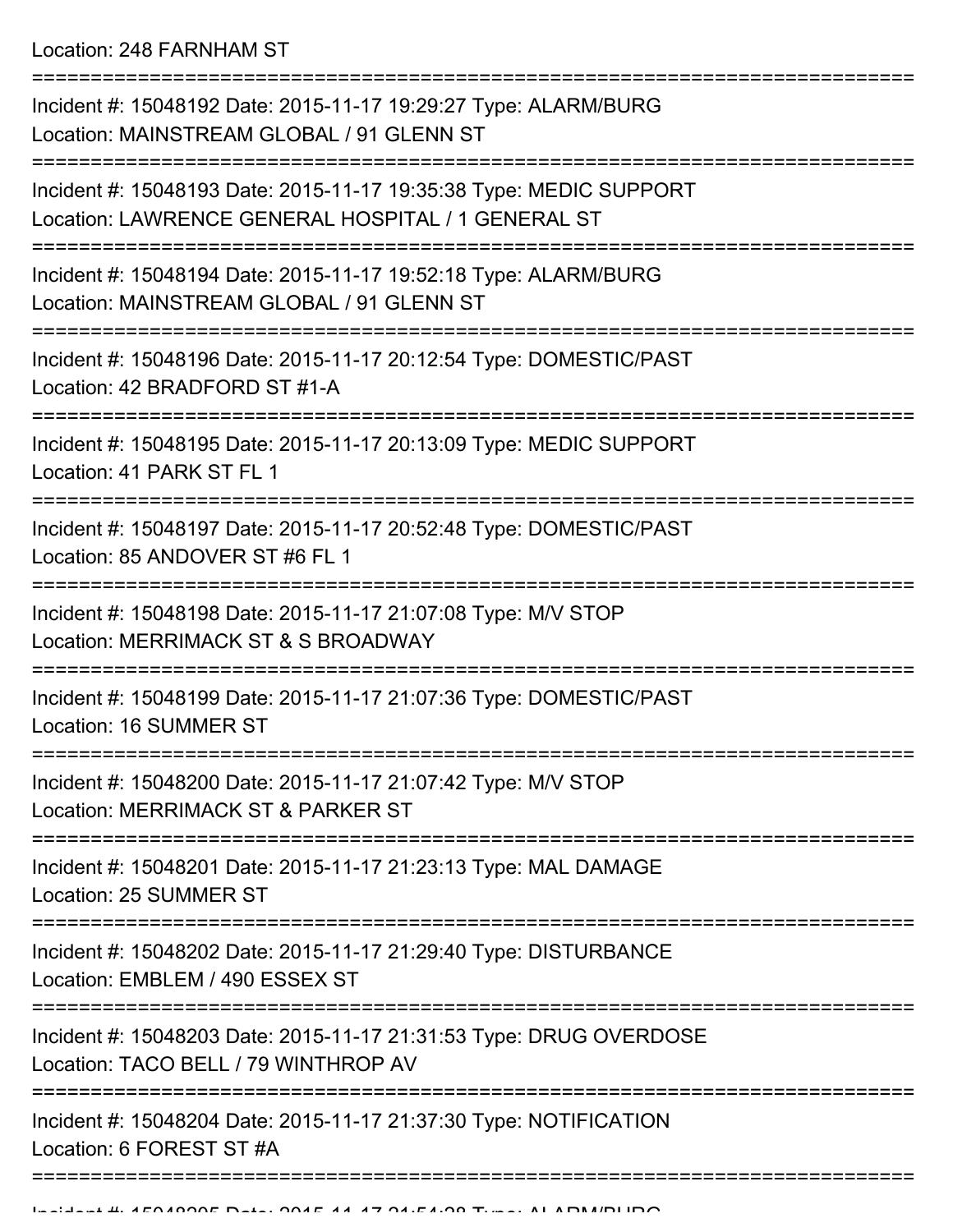Location: 248 FARNHAM ST

| Incident #: 15048204 Date: 2015-11-17 21:37:30 Type: NOTIFICATION<br>Location: 6 FOREST ST #A                                 |
|-------------------------------------------------------------------------------------------------------------------------------|
| Incident #: 15048203 Date: 2015-11-17 21:31:53 Type: DRUG OVERDOSE<br>Location: TACO BELL / 79 WINTHROP AV                    |
| Incident #: 15048202 Date: 2015-11-17 21:29:40 Type: DISTURBANCE<br>Location: EMBLEM / 490 ESSEX ST                           |
| Incident #: 15048201 Date: 2015-11-17 21:23:13 Type: MAL DAMAGE<br>Location: 25 SUMMER ST<br>-------------------------------- |
| Incident #: 15048200 Date: 2015-11-17 21:07:42 Type: M/V STOP<br>Location: MERRIMACK ST & PARKER ST                           |
| Incident #: 15048199 Date: 2015-11-17 21:07:36 Type: DOMESTIC/PAST<br>Location: 16 SUMMER ST                                  |
| Incident #: 15048198 Date: 2015-11-17 21:07:08 Type: M/V STOP<br>Location: MERRIMACK ST & S BROADWAY                          |
| Incident #: 15048197 Date: 2015-11-17 20:52:48 Type: DOMESTIC/PAST<br>Location: 85 ANDOVER ST #6 FL 1                         |
| Incident #: 15048195 Date: 2015-11-17 20:13:09 Type: MEDIC SUPPORT<br>Location: 41 PARK ST FL 1                               |
| Incident #: 15048196 Date: 2015-11-17 20:12:54 Type: DOMESTIC/PAST<br>Location: 42 BRADFORD ST #1-A                           |
| Incident #: 15048194 Date: 2015-11-17 19:52:18 Type: ALARM/BURG<br>Location: MAINSTREAM GLOBAL / 91 GLENN ST                  |
| Incident #: 15048193 Date: 2015-11-17 19:35:38 Type: MEDIC SUPPORT<br>Location: LAWRENCE GENERAL HOSPITAL / 1 GENERAL ST      |
| Incident #: 15048192 Date: 2015-11-17 19:29:27 Type: ALARM/BURG<br>Location: MAINSTREAM GLOBAL / 91 GLENN ST                  |